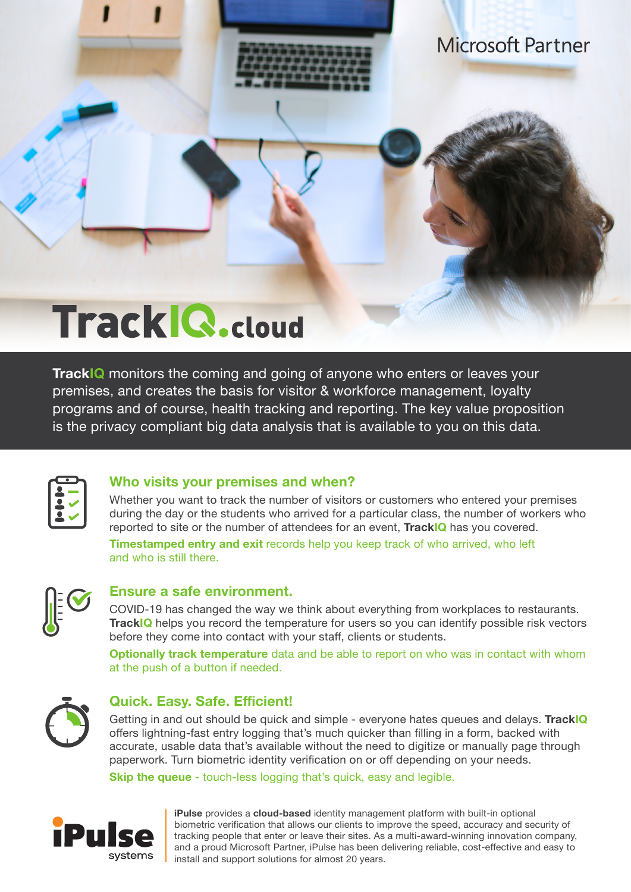

**Microsoft Partner** 

# **Track Q.cloud**

**TrackIQ** monitors the coming and going of anyone who enters or leaves your premises, and creates the basis for visitor & workforce management, loyalty programs and of course, health tracking and reporting. The key value proposition is the privacy compliant big data analysis that is available to you on this data.



### **Who visits your premises and when?**

Whether you want to track the number of visitors or customers who entered your premises during the day or the students who arrived for a particular class, the number of workers who reported to site or the number of attendees for an event, **TrackIQ** has you covered.

**Timestamped entry and exit** records help you keep track of who arrived, who left and who is still there.



### **Ensure a safe environment.**

COVID-19 has changed the way we think about everything from workplaces to restaurants. **TrackIQ** helps you record the temperature for users so you can identify possible risk vectors before they come into contact with your staff, clients or students.

**Optionally track temperature** data and be able to report on who was in contact with whom at the push of a button if needed.



### **Quick. Easy. Safe. Efficient!**

Getting in and out should be quick and simple - everyone hates queues and delays. **TrackIQ** offers lightning-fast entry logging that's much quicker than filling in a form, backed with accurate, usable data that's available without the need to digitize or manually page through paperwork. Turn biometric identity verification on or off depending on your needs.

**Skip the queue** - touch-less logging that's quick, easy and legible.



**iPulse** provides a **cloud-based** identity management platform with built-in optional biometric verification that allows our clients to improve the speed, accuracy and security of tracking people that enter or leave their sites. As a multi-award-winning innovation company, and a proud Microsoft Partner, iPulse has been delivering reliable, cost-effective and easy to install and support solutions for almost 20 years.